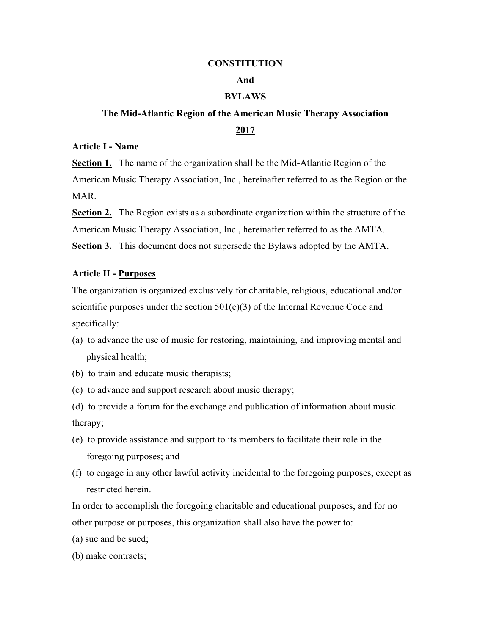### **CONSTITUTION**

### **And**

### **BYLAWS**

# **The Mid-Atlantic Region of the American Music Therapy Association 2017**

### **Article I - Name**

**Section 1.** The name of the organization shall be the Mid-Atlantic Region of the American Music Therapy Association, Inc., hereinafter referred to as the Region or the MAR.

**Section 2.** The Region exists as a subordinate organization within the structure of the American Music Therapy Association, Inc., hereinafter referred to as the AMTA. **Section 3.** This document does not supersede the Bylaws adopted by the AMTA.

## **Article II - Purposes**

The organization is organized exclusively for charitable, religious, educational and/or scientific purposes under the section  $501(c)(3)$  of the Internal Revenue Code and specifically:

- (a) to advance the use of music for restoring, maintaining, and improving mental and physical health;
- (b) to train and educate music therapists;
- (c) to advance and support research about music therapy;
- (d) to provide a forum for the exchange and publication of information about music therapy;
- (e) to provide assistance and support to its members to facilitate their role in the foregoing purposes; and
- (f) to engage in any other lawful activity incidental to the foregoing purposes, except as restricted herein.

In order to accomplish the foregoing charitable and educational purposes, and for no other purpose or purposes, this organization shall also have the power to:

- (a) sue and be sued;
- (b) make contracts;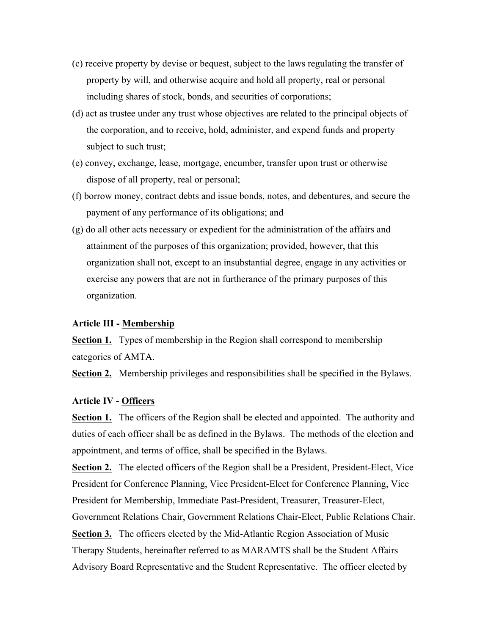- (c) receive property by devise or bequest, subject to the laws regulating the transfer of property by will, and otherwise acquire and hold all property, real or personal including shares of stock, bonds, and securities of corporations;
- (d) act as trustee under any trust whose objectives are related to the principal objects of the corporation, and to receive, hold, administer, and expend funds and property subject to such trust;
- (e) convey, exchange, lease, mortgage, encumber, transfer upon trust or otherwise dispose of all property, real or personal;
- (f) borrow money, contract debts and issue bonds, notes, and debentures, and secure the payment of any performance of its obligations; and
- (g) do all other acts necessary or expedient for the administration of the affairs and attainment of the purposes of this organization; provided, however, that this organization shall not, except to an insubstantial degree, engage in any activities or exercise any powers that are not in furtherance of the primary purposes of this organization.

# **Article III - Membership**

**Section 1.** Types of membership in the Region shall correspond to membership categories of AMTA.

**Section 2.** Membership privileges and responsibilities shall be specified in the Bylaws.

# **Article IV - Officers**

**Section 1.** The officers of the Region shall be elected and appointed. The authority and duties of each officer shall be as defined in the Bylaws. The methods of the election and appointment, and terms of office, shall be specified in the Bylaws.

**Section 2.** The elected officers of the Region shall be a President, President-Elect, Vice President for Conference Planning, Vice President-Elect for Conference Planning, Vice President for Membership, Immediate Past-President, Treasurer, Treasurer-Elect, Government Relations Chair, Government Relations Chair-Elect, Public Relations Chair. **Section 3.** The officers elected by the Mid-Atlantic Region Association of Music Therapy Students, hereinafter referred to as MARAMTS shall be the Student Affairs Advisory Board Representative and the Student Representative. The officer elected by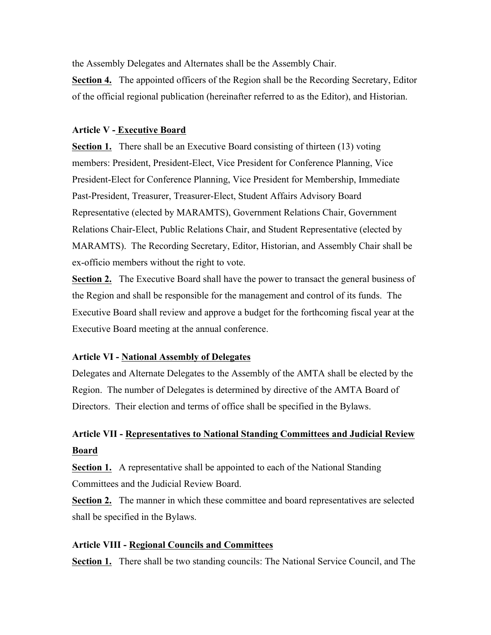the Assembly Delegates and Alternates shall be the Assembly Chair.

**Section 4.** The appointed officers of the Region shall be the Recording Secretary, Editor of the official regional publication (hereinafter referred to as the Editor), and Historian.

# **Article V - Executive Board**

**Section 1.** There shall be an Executive Board consisting of thirteen (13) voting members: President, President-Elect, Vice President for Conference Planning, Vice President-Elect for Conference Planning, Vice President for Membership, Immediate Past-President, Treasurer, Treasurer-Elect, Student Affairs Advisory Board Representative (elected by MARAMTS), Government Relations Chair, Government Relations Chair-Elect, Public Relations Chair, and Student Representative (elected by MARAMTS). The Recording Secretary, Editor, Historian, and Assembly Chair shall be ex-officio members without the right to vote.

**Section 2.** The Executive Board shall have the power to transact the general business of the Region and shall be responsible for the management and control of its funds. The Executive Board shall review and approve a budget for the forthcoming fiscal year at the Executive Board meeting at the annual conference.

# **Article VI - National Assembly of Delegates**

Delegates and Alternate Delegates to the Assembly of the AMTA shall be elected by the Region. The number of Delegates is determined by directive of the AMTA Board of Directors. Their election and terms of office shall be specified in the Bylaws.

# **Article VII - Representatives to National Standing Committees and Judicial Review Board**

**Section 1.** A representative shall be appointed to each of the National Standing Committees and the Judicial Review Board.

**Section 2.** The manner in which these committee and board representatives are selected shall be specified in the Bylaws.

# **Article VIII - Regional Councils and Committees**

**Section 1.** There shall be two standing councils: The National Service Council, and The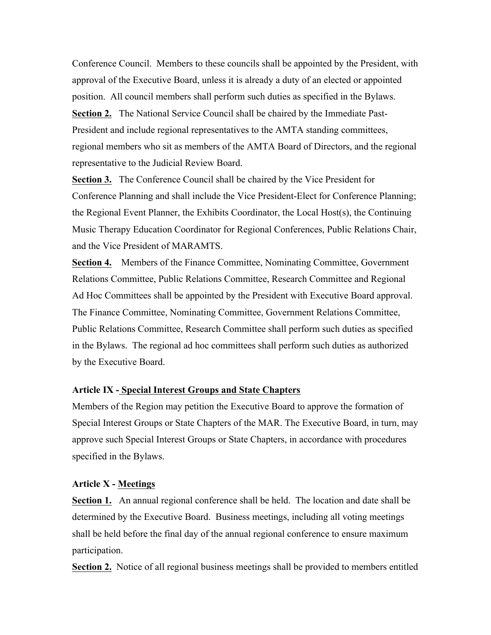Conference Council. Members to these councils shall be appointed by the President, with approval of the Executive Board, unless it is already a duty of an elected or appointed position. All council members shall perform such duties as specified in the Bylaws. **Section 2.** The National Service Council shall be chaired by the Immediate Past-President and include regional representatives to the AMTA standing committees, regional members who sit as members of the AMTA Board of Directors, and the regional representative to the Judicial Review Board.

**Section 3.** The Conference Council shall be chaired by the Vice President for Conference Planning and shall include the Vice President-Elect for Conference Planning; the Regional Event Planner, the Exhibits Coordinator, the Local Host(s), the Continuing Music Therapy Education Coordinator for Regional Conferences, Public Relations Chair, and the Vice President of MARAMTS.

**Section 4.** Members of the Finance Committee, Nominating Committee, Government Relations Committee, Public Relations Committee, Research Committee and Regional Ad Hoc Committees shall be appointed by the President with Executive Board approval. The Finance Committee, Nominating Committee, Government Relations Committee, Public Relations Committee, Research Committee shall perform such duties as specified in the Bylaws. The regional ad hoc committees shall perform such duties as authorized by the Executive Board.

# **Article IX - Special Interest Groups and State Chapters**

Members of the Region may petition the Executive Board to approve the formation of Special Interest Groups or State Chapters of the MAR. The Executive Board, in turn, may approve such Special Interest Groups or State Chapters, in accordance with procedures specified in the Bylaws.

#### **Article X - Meetings**

**Section 1.** An annual regional conference shall be held. The location and date shall be determined by the Executive Board. Business meetings, including all voting meetings shall be held before the final day of the annual regional conference to ensure maximum participation.

**Section 2.** Notice of all regional business meetings shall be provided to members entitled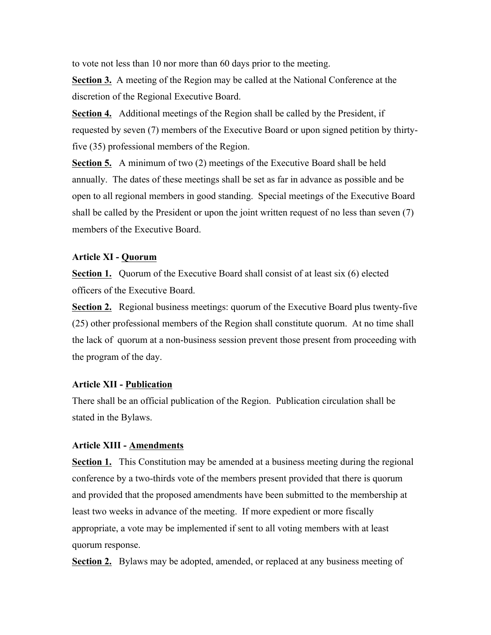to vote not less than 10 nor more than 60 days prior to the meeting.

**Section 3.** A meeting of the Region may be called at the National Conference at the discretion of the Regional Executive Board.

**Section 4.** Additional meetings of the Region shall be called by the President, if requested by seven (7) members of the Executive Board or upon signed petition by thirtyfive (35) professional members of the Region.

**Section 5.** A minimum of two (2) meetings of the Executive Board shall be held annually. The dates of these meetings shall be set as far in advance as possible and be open to all regional members in good standing. Special meetings of the Executive Board shall be called by the President or upon the joint written request of no less than seven (7) members of the Executive Board.

# **Article XI - Quorum**

**Section 1.** Quorum of the Executive Board shall consist of at least six (6) elected officers of the Executive Board.

**Section 2.** Regional business meetings: quorum of the Executive Board plus twenty-five (25) other professional members of the Region shall constitute quorum. At no time shall the lack of quorum at a non-business session prevent those present from proceeding with the program of the day.

### **Article XII - Publication**

There shall be an official publication of the Region. Publication circulation shall be stated in the Bylaws.

# **Article XIII - Amendments**

**Section 1.** This Constitution may be amended at a business meeting during the regional conference by a two-thirds vote of the members present provided that there is quorum and provided that the proposed amendments have been submitted to the membership at least two weeks in advance of the meeting. If more expedient or more fiscally appropriate, a vote may be implemented if sent to all voting members with at least quorum response.

**Section 2.** Bylaws may be adopted, amended, or replaced at any business meeting of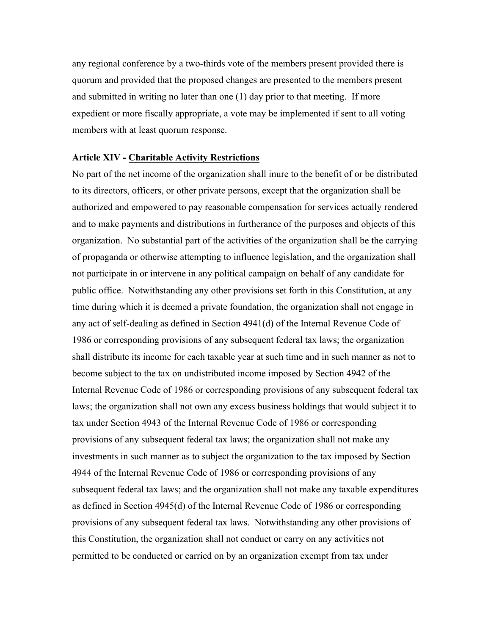any regional conference by a two-thirds vote of the members present provided there is quorum and provided that the proposed changes are presented to the members present and submitted in writing no later than one (1) day prior to that meeting. If more expedient or more fiscally appropriate, a vote may be implemented if sent to all voting members with at least quorum response.

### **Article XIV - Charitable Activity Restrictions**

No part of the net income of the organization shall inure to the benefit of or be distributed to its directors, officers, or other private persons, except that the organization shall be authorized and empowered to pay reasonable compensation for services actually rendered and to make payments and distributions in furtherance of the purposes and objects of this organization. No substantial part of the activities of the organization shall be the carrying of propaganda or otherwise attempting to influence legislation, and the organization shall not participate in or intervene in any political campaign on behalf of any candidate for public office. Notwithstanding any other provisions set forth in this Constitution, at any time during which it is deemed a private foundation, the organization shall not engage in any act of self-dealing as defined in Section 4941(d) of the Internal Revenue Code of 1986 or corresponding provisions of any subsequent federal tax laws; the organization shall distribute its income for each taxable year at such time and in such manner as not to become subject to the tax on undistributed income imposed by Section 4942 of the Internal Revenue Code of 1986 or corresponding provisions of any subsequent federal tax laws; the organization shall not own any excess business holdings that would subject it to tax under Section 4943 of the Internal Revenue Code of 1986 or corresponding provisions of any subsequent federal tax laws; the organization shall not make any investments in such manner as to subject the organization to the tax imposed by Section 4944 of the Internal Revenue Code of 1986 or corresponding provisions of any subsequent federal tax laws; and the organization shall not make any taxable expenditures as defined in Section 4945(d) of the Internal Revenue Code of 1986 or corresponding provisions of any subsequent federal tax laws. Notwithstanding any other provisions of this Constitution, the organization shall not conduct or carry on any activities not permitted to be conducted or carried on by an organization exempt from tax under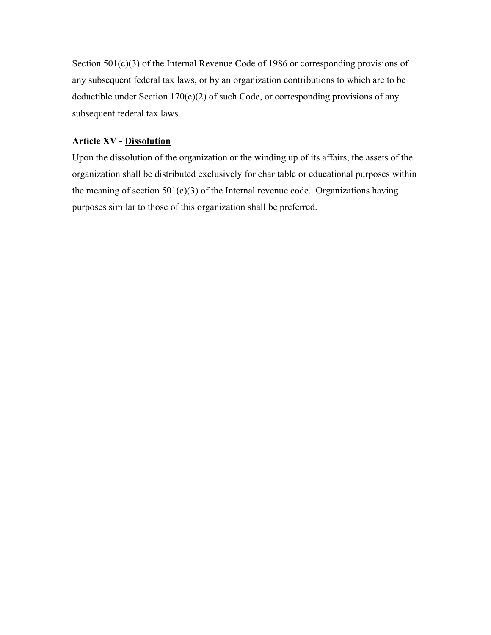Section 501(c)(3) of the Internal Revenue Code of 1986 or corresponding provisions of any subsequent federal tax laws, or by an organization contributions to which are to be deductible under Section  $170(c)(2)$  of such Code, or corresponding provisions of any subsequent federal tax laws.

# **Article XV - Dissolution**

Upon the dissolution of the organization or the winding up of its affairs, the assets of the organization shall be distributed exclusively for charitable or educational purposes within the meaning of section  $501(c)(3)$  of the Internal revenue code. Organizations having purposes similar to those of this organization shall be preferred.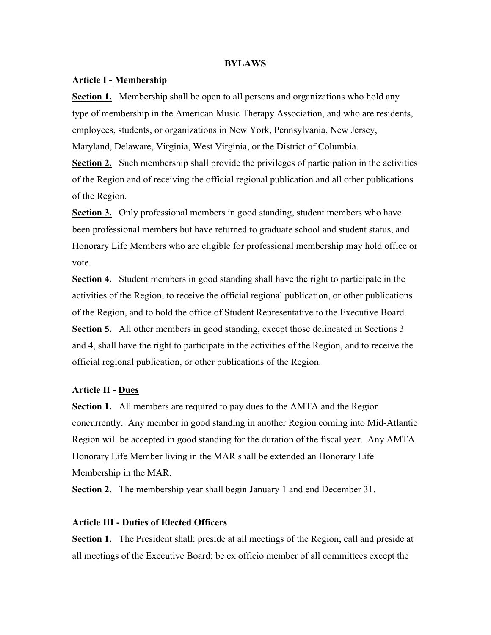#### **BYLAWS**

#### **Article I - Membership**

**Section 1.** Membership shall be open to all persons and organizations who hold any type of membership in the American Music Therapy Association, and who are residents, employees, students, or organizations in New York, Pennsylvania, New Jersey, Maryland, Delaware, Virginia, West Virginia, or the District of Columbia.

**Section 2.** Such membership shall provide the privileges of participation in the activities of the Region and of receiving the official regional publication and all other publications of the Region.

**Section 3.** Only professional members in good standing, student members who have been professional members but have returned to graduate school and student status, and Honorary Life Members who are eligible for professional membership may hold office or vote.

**Section 4.** Student members in good standing shall have the right to participate in the activities of the Region, to receive the official regional publication, or other publications of the Region, and to hold the office of Student Representative to the Executive Board. **Section 5.** All other members in good standing, except those delineated in Sections 3 and 4, shall have the right to participate in the activities of the Region, and to receive the official regional publication, or other publications of the Region.

#### **Article II - Dues**

**Section 1.** All members are required to pay dues to the AMTA and the Region concurrently. Any member in good standing in another Region coming into Mid-Atlantic Region will be accepted in good standing for the duration of the fiscal year. Any AMTA Honorary Life Member living in the MAR shall be extended an Honorary Life Membership in the MAR.

**Section 2.** The membership year shall begin January 1 and end December 31.

### **Article III - Duties of Elected Officers**

**Section 1.** The President shall: preside at all meetings of the Region; call and preside at all meetings of the Executive Board; be ex officio member of all committees except the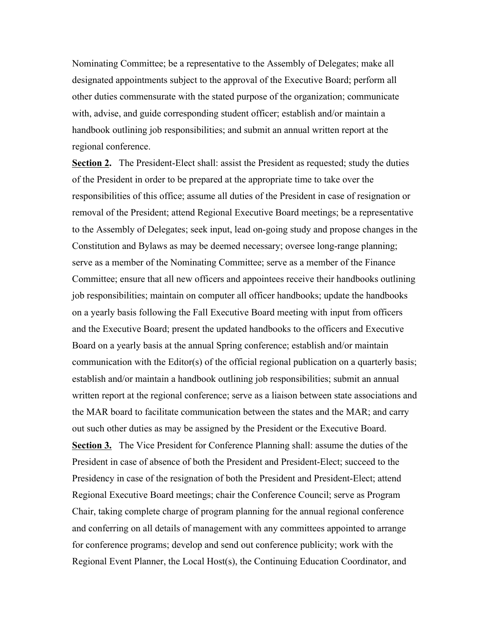Nominating Committee; be a representative to the Assembly of Delegates; make all designated appointments subject to the approval of the Executive Board; perform all other duties commensurate with the stated purpose of the organization; communicate with, advise, and guide corresponding student officer; establish and/or maintain a handbook outlining job responsibilities; and submit an annual written report at the regional conference.

**Section 2.** The President-Elect shall: assist the President as requested; study the duties of the President in order to be prepared at the appropriate time to take over the responsibilities of this office; assume all duties of the President in case of resignation or removal of the President; attend Regional Executive Board meetings; be a representative to the Assembly of Delegates; seek input, lead on-going study and propose changes in the Constitution and Bylaws as may be deemed necessary; oversee long-range planning; serve as a member of the Nominating Committee; serve as a member of the Finance Committee; ensure that all new officers and appointees receive their handbooks outlining job responsibilities; maintain on computer all officer handbooks; update the handbooks on a yearly basis following the Fall Executive Board meeting with input from officers and the Executive Board; present the updated handbooks to the officers and Executive Board on a yearly basis at the annual Spring conference; establish and/or maintain communication with the Editor(s) of the official regional publication on a quarterly basis; establish and/or maintain a handbook outlining job responsibilities; submit an annual written report at the regional conference; serve as a liaison between state associations and the MAR board to facilitate communication between the states and the MAR; and carry out such other duties as may be assigned by the President or the Executive Board. **Section 3.** The Vice President for Conference Planning shall: assume the duties of the President in case of absence of both the President and President-Elect; succeed to the Presidency in case of the resignation of both the President and President-Elect; attend Regional Executive Board meetings; chair the Conference Council; serve as Program Chair, taking complete charge of program planning for the annual regional conference and conferring on all details of management with any committees appointed to arrange for conference programs; develop and send out conference publicity; work with the Regional Event Planner, the Local Host(s), the Continuing Education Coordinator, and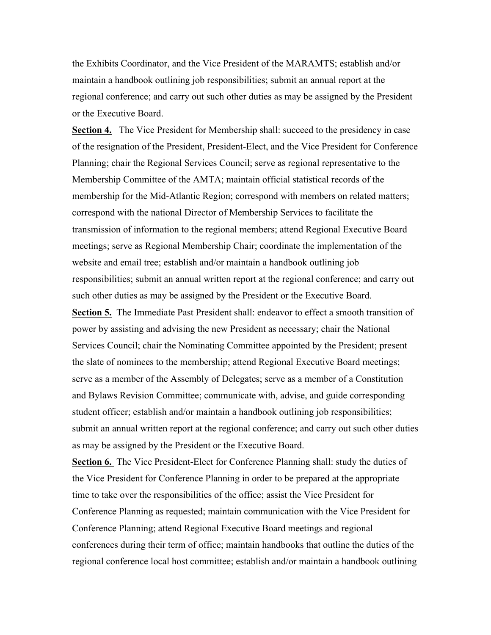the Exhibits Coordinator, and the Vice President of the MARAMTS; establish and/or maintain a handbook outlining job responsibilities; submit an annual report at the regional conference; and carry out such other duties as may be assigned by the President or the Executive Board.

**Section 4.** The Vice President for Membership shall: succeed to the presidency in case of the resignation of the President, President-Elect, and the Vice President for Conference Planning; chair the Regional Services Council; serve as regional representative to the Membership Committee of the AMTA; maintain official statistical records of the membership for the Mid-Atlantic Region; correspond with members on related matters; correspond with the national Director of Membership Services to facilitate the transmission of information to the regional members; attend Regional Executive Board meetings; serve as Regional Membership Chair; coordinate the implementation of the website and email tree; establish and/or maintain a handbook outlining job responsibilities; submit an annual written report at the regional conference; and carry out such other duties as may be assigned by the President or the Executive Board. **Section 5.** The Immediate Past President shall: endeavor to effect a smooth transition of power by assisting and advising the new President as necessary; chair the National Services Council; chair the Nominating Committee appointed by the President; present the slate of nominees to the membership; attend Regional Executive Board meetings; serve as a member of the Assembly of Delegates; serve as a member of a Constitution and Bylaws Revision Committee; communicate with, advise, and guide corresponding student officer; establish and/or maintain a handbook outlining job responsibilities; submit an annual written report at the regional conference; and carry out such other duties as may be assigned by the President or the Executive Board.

**Section 6.** The Vice President-Elect for Conference Planning shall: study the duties of the Vice President for Conference Planning in order to be prepared at the appropriate time to take over the responsibilities of the office; assist the Vice President for Conference Planning as requested; maintain communication with the Vice President for Conference Planning; attend Regional Executive Board meetings and regional conferences during their term of office; maintain handbooks that outline the duties of the regional conference local host committee; establish and/or maintain a handbook outlining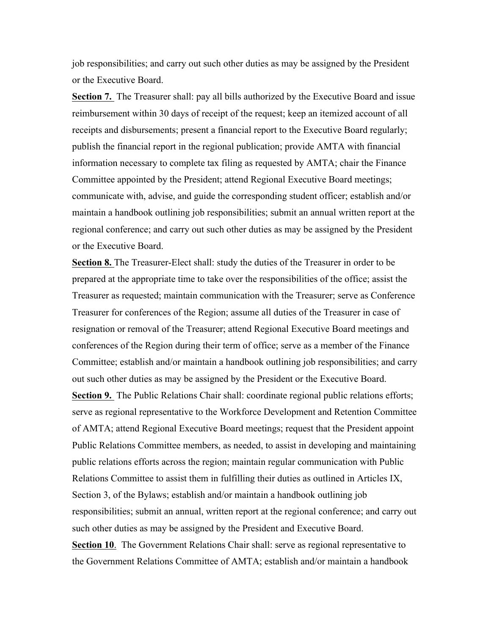job responsibilities; and carry out such other duties as may be assigned by the President or the Executive Board.

**Section 7.** The Treasurer shall: pay all bills authorized by the Executive Board and issue reimbursement within 30 days of receipt of the request; keep an itemized account of all receipts and disbursements; present a financial report to the Executive Board regularly; publish the financial report in the regional publication; provide AMTA with financial information necessary to complete tax filing as requested by AMTA; chair the Finance Committee appointed by the President; attend Regional Executive Board meetings; communicate with, advise, and guide the corresponding student officer; establish and/or maintain a handbook outlining job responsibilities; submit an annual written report at the regional conference; and carry out such other duties as may be assigned by the President or the Executive Board.

**Section 8.** The Treasurer-Elect shall: study the duties of the Treasurer in order to be prepared at the appropriate time to take over the responsibilities of the office; assist the Treasurer as requested; maintain communication with the Treasurer; serve as Conference Treasurer for conferences of the Region; assume all duties of the Treasurer in case of resignation or removal of the Treasurer; attend Regional Executive Board meetings and conferences of the Region during their term of office; serve as a member of the Finance Committee; establish and/or maintain a handbook outlining job responsibilities; and carry out such other duties as may be assigned by the President or the Executive Board. **Section 9.** The Public Relations Chair shall: coordinate regional public relations efforts; serve as regional representative to the Workforce Development and Retention Committee of AMTA; attend Regional Executive Board meetings; request that the President appoint Public Relations Committee members, as needed, to assist in developing and maintaining public relations efforts across the region; maintain regular communication with Public Relations Committee to assist them in fulfilling their duties as outlined in Articles IX, Section 3, of the Bylaws; establish and/or maintain a handbook outlining job responsibilities; submit an annual, written report at the regional conference; and carry out such other duties as may be assigned by the President and Executive Board. **Section 10**. The Government Relations Chair shall: serve as regional representative to the Government Relations Committee of AMTA; establish and/or maintain a handbook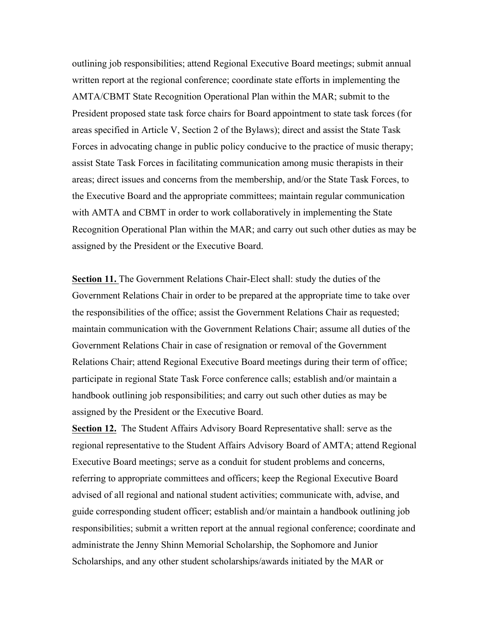outlining job responsibilities; attend Regional Executive Board meetings; submit annual written report at the regional conference; coordinate state efforts in implementing the AMTA/CBMT State Recognition Operational Plan within the MAR; submit to the President proposed state task force chairs for Board appointment to state task forces (for areas specified in Article V, Section 2 of the Bylaws); direct and assist the State Task Forces in advocating change in public policy conducive to the practice of music therapy; assist State Task Forces in facilitating communication among music therapists in their areas; direct issues and concerns from the membership, and/or the State Task Forces, to the Executive Board and the appropriate committees; maintain regular communication with AMTA and CBMT in order to work collaboratively in implementing the State Recognition Operational Plan within the MAR; and carry out such other duties as may be assigned by the President or the Executive Board.

**Section 11.** The Government Relations Chair-Elect shall: study the duties of the Government Relations Chair in order to be prepared at the appropriate time to take over the responsibilities of the office; assist the Government Relations Chair as requested; maintain communication with the Government Relations Chair; assume all duties of the Government Relations Chair in case of resignation or removal of the Government Relations Chair; attend Regional Executive Board meetings during their term of office; participate in regional State Task Force conference calls; establish and/or maintain a handbook outlining job responsibilities; and carry out such other duties as may be assigned by the President or the Executive Board.

**Section 12.** The Student Affairs Advisory Board Representative shall: serve as the regional representative to the Student Affairs Advisory Board of AMTA; attend Regional Executive Board meetings; serve as a conduit for student problems and concerns, referring to appropriate committees and officers; keep the Regional Executive Board advised of all regional and national student activities; communicate with, advise, and guide corresponding student officer; establish and/or maintain a handbook outlining job responsibilities; submit a written report at the annual regional conference; coordinate and administrate the Jenny Shinn Memorial Scholarship, the Sophomore and Junior Scholarships, and any other student scholarships/awards initiated by the MAR or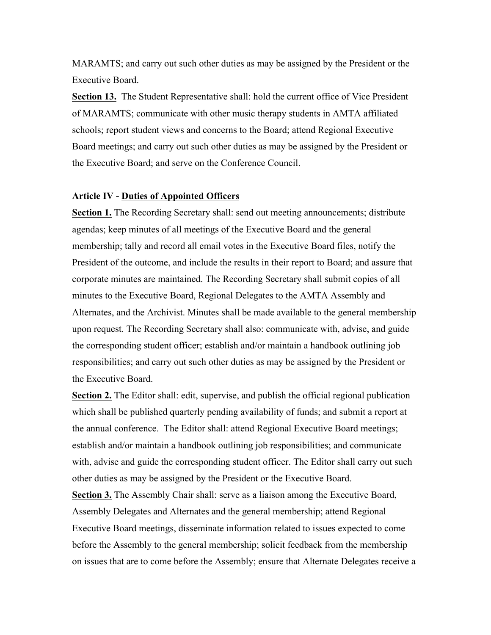MARAMTS; and carry out such other duties as may be assigned by the President or the Executive Board.

**Section 13.** The Student Representative shall: hold the current office of Vice President of MARAMTS; communicate with other music therapy students in AMTA affiliated schools; report student views and concerns to the Board; attend Regional Executive Board meetings; and carry out such other duties as may be assigned by the President or the Executive Board; and serve on the Conference Council.

# **Article IV - Duties of Appointed Officers**

**Section 1.** The Recording Secretary shall: send out meeting announcements; distribute agendas; keep minutes of all meetings of the Executive Board and the general membership; tally and record all email votes in the Executive Board files, notify the President of the outcome, and include the results in their report to Board; and assure that corporate minutes are maintained. The Recording Secretary shall submit copies of all minutes to the Executive Board, Regional Delegates to the AMTA Assembly and Alternates, and the Archivist. Minutes shall be made available to the general membership upon request. The Recording Secretary shall also: communicate with, advise, and guide the corresponding student officer; establish and/or maintain a handbook outlining job responsibilities; and carry out such other duties as may be assigned by the President or the Executive Board.

**Section 2.** The Editor shall: edit, supervise, and publish the official regional publication which shall be published quarterly pending availability of funds; and submit a report at the annual conference. The Editor shall: attend Regional Executive Board meetings; establish and/or maintain a handbook outlining job responsibilities; and communicate with, advise and guide the corresponding student officer. The Editor shall carry out such other duties as may be assigned by the President or the Executive Board.

**Section 3.** The Assembly Chair shall: serve as a liaison among the Executive Board, Assembly Delegates and Alternates and the general membership; attend Regional Executive Board meetings, disseminate information related to issues expected to come before the Assembly to the general membership; solicit feedback from the membership on issues that are to come before the Assembly; ensure that Alternate Delegates receive a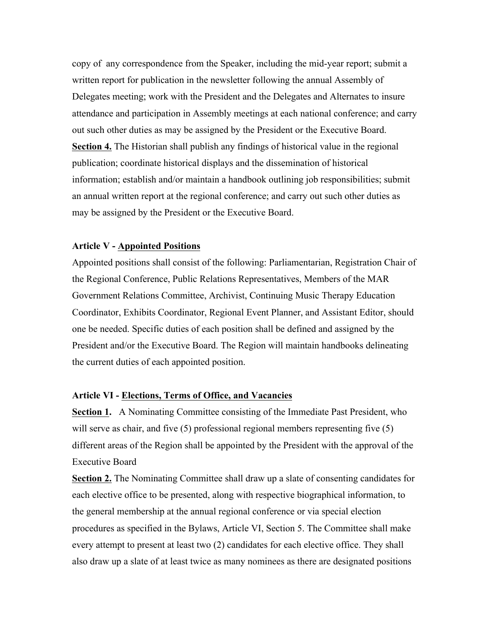copy of any correspondence from the Speaker, including the mid-year report; submit a written report for publication in the newsletter following the annual Assembly of Delegates meeting; work with the President and the Delegates and Alternates to insure attendance and participation in Assembly meetings at each national conference; and carry out such other duties as may be assigned by the President or the Executive Board. **Section 4.** The Historian shall publish any findings of historical value in the regional publication; coordinate historical displays and the dissemination of historical information; establish and/or maintain a handbook outlining job responsibilities; submit an annual written report at the regional conference; and carry out such other duties as may be assigned by the President or the Executive Board.

### **Article V - Appointed Positions**

Appointed positions shall consist of the following: Parliamentarian, Registration Chair of the Regional Conference, Public Relations Representatives, Members of the MAR Government Relations Committee, Archivist, Continuing Music Therapy Education Coordinator, Exhibits Coordinator, Regional Event Planner, and Assistant Editor, should one be needed. Specific duties of each position shall be defined and assigned by the President and/or the Executive Board. The Region will maintain handbooks delineating the current duties of each appointed position.

### **Article VI - Elections, Terms of Office, and Vacancies**

**Section 1.** A Nominating Committee consisting of the Immediate Past President, who will serve as chair, and five (5) professional regional members representing five (5) different areas of the Region shall be appointed by the President with the approval of the Executive Board

**Section 2.** The Nominating Committee shall draw up a slate of consenting candidates for each elective office to be presented, along with respective biographical information, to the general membership at the annual regional conference or via special election procedures as specified in the Bylaws, Article VI, Section 5. The Committee shall make every attempt to present at least two (2) candidates for each elective office. They shall also draw up a slate of at least twice as many nominees as there are designated positions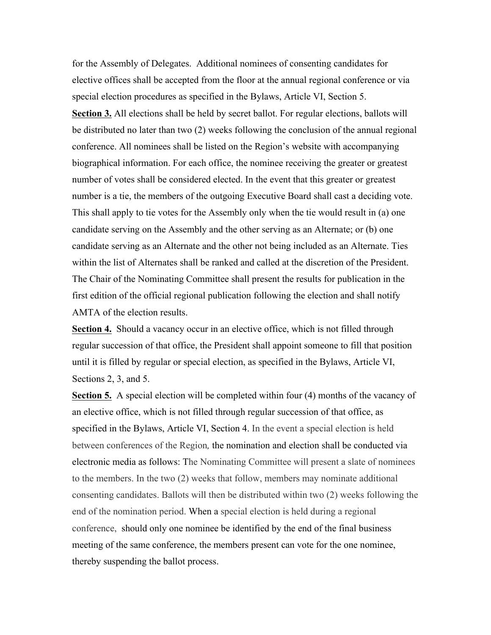for the Assembly of Delegates. Additional nominees of consenting candidates for elective offices shall be accepted from the floor at the annual regional conference or via special election procedures as specified in the Bylaws, Article VI, Section 5. **Section 3.** All elections shall be held by secret ballot. For regular elections, ballots will be distributed no later than two (2) weeks following the conclusion of the annual regional conference. All nominees shall be listed on the Region's website with accompanying biographical information. For each office, the nominee receiving the greater or greatest number of votes shall be considered elected. In the event that this greater or greatest number is a tie, the members of the outgoing Executive Board shall cast a deciding vote. This shall apply to tie votes for the Assembly only when the tie would result in (a) one candidate serving on the Assembly and the other serving as an Alternate; or (b) one candidate serving as an Alternate and the other not being included as an Alternate. Ties within the list of Alternates shall be ranked and called at the discretion of the President. The Chair of the Nominating Committee shall present the results for publication in the first edition of the official regional publication following the election and shall notify AMTA of the election results.

**Section 4.** Should a vacancy occur in an elective office, which is not filled through regular succession of that office, the President shall appoint someone to fill that position until it is filled by regular or special election, as specified in the Bylaws, Article VI, Sections 2, 3, and 5.

**Section 5.** A special election will be completed within four (4) months of the vacancy of an elective office, which is not filled through regular succession of that office, as specified in the Bylaws, Article VI, Section 4. In the event a special election is held between conferences of the Region*,* the nomination and election shall be conducted via electronic media as follows: The Nominating Committee will present a slate of nominees to the members. In the two (2) weeks that follow, members may nominate additional consenting candidates. Ballots will then be distributed within two (2) weeks following the end of the nomination period. When a special election is held during a regional conference, should only one nominee be identified by the end of the final business meeting of the same conference, the members present can vote for the one nominee, thereby suspending the ballot process.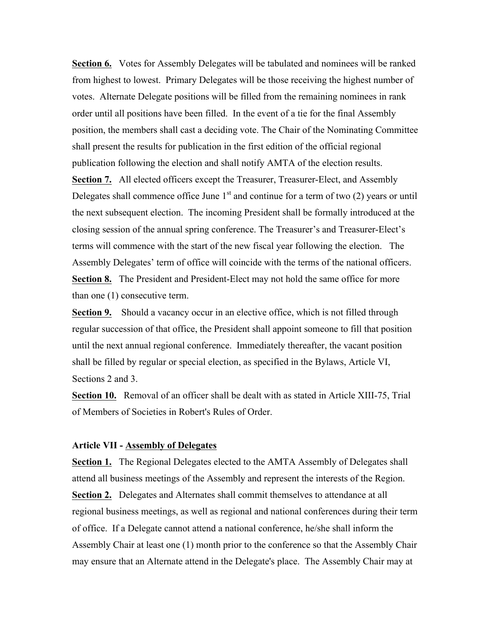**Section 6.** Votes for Assembly Delegates will be tabulated and nominees will be ranked from highest to lowest. Primary Delegates will be those receiving the highest number of votes. Alternate Delegate positions will be filled from the remaining nominees in rank order until all positions have been filled. In the event of a tie for the final Assembly position, the members shall cast a deciding vote. The Chair of the Nominating Committee shall present the results for publication in the first edition of the official regional publication following the election and shall notify AMTA of the election results.

**Section 7.** All elected officers except the Treasurer, Treasurer-Elect, and Assembly Delegates shall commence office June  $1<sup>st</sup>$  and continue for a term of two (2) years or until the next subsequent election. The incoming President shall be formally introduced at the closing session of the annual spring conference. The Treasurer's and Treasurer-Elect's terms will commence with the start of the new fiscal year following the election. The Assembly Delegates' term of office will coincide with the terms of the national officers. **Section 8.** The President and President-Elect may not hold the same office for more than one (1) consecutive term.

**Section 9.** Should a vacancy occur in an elective office, which is not filled through regular succession of that office, the President shall appoint someone to fill that position until the next annual regional conference. Immediately thereafter, the vacant position shall be filled by regular or special election, as specified in the Bylaws, Article VI, Sections 2 and 3.

**Section 10.** Removal of an officer shall be dealt with as stated in Article XIII-75, Trial of Members of Societies in Robert's Rules of Order.

# **Article VII - Assembly of Delegates**

**Section 1.** The Regional Delegates elected to the AMTA Assembly of Delegates shall attend all business meetings of the Assembly and represent the interests of the Region. **Section 2.** Delegates and Alternates shall commit themselves to attendance at all regional business meetings, as well as regional and national conferences during their term of office. If a Delegate cannot attend a national conference, he/she shall inform the Assembly Chair at least one (1) month prior to the conference so that the Assembly Chair may ensure that an Alternate attend in the Delegate's place. The Assembly Chair may at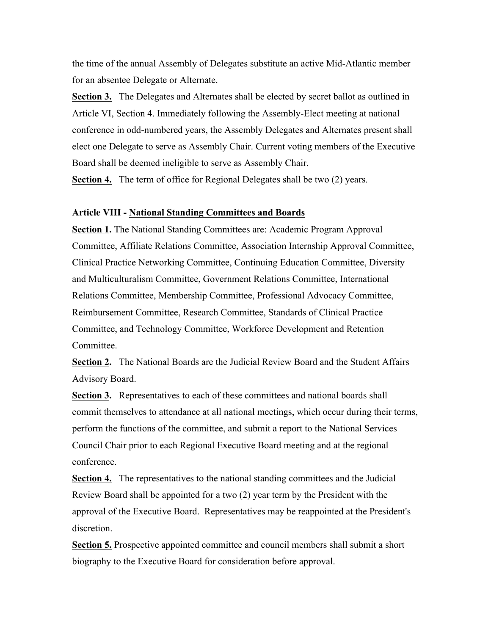the time of the annual Assembly of Delegates substitute an active Mid-Atlantic member for an absentee Delegate or Alternate.

**Section 3.** The Delegates and Alternates shall be elected by secret ballot as outlined in Article VI, Section 4. Immediately following the Assembly-Elect meeting at national conference in odd-numbered years, the Assembly Delegates and Alternates present shall elect one Delegate to serve as Assembly Chair. Current voting members of the Executive Board shall be deemed ineligible to serve as Assembly Chair.

**Section 4.** The term of office for Regional Delegates shall be two (2) years.

### **Article VIII - National Standing Committees and Boards**

**Section 1.** The National Standing Committees are: Academic Program Approval Committee, Affiliate Relations Committee, Association Internship Approval Committee, Clinical Practice Networking Committee, Continuing Education Committee, Diversity and Multiculturalism Committee, Government Relations Committee, International Relations Committee, Membership Committee, Professional Advocacy Committee, Reimbursement Committee, Research Committee, Standards of Clinical Practice Committee, and Technology Committee, Workforce Development and Retention **Committee** 

**Section 2.** The National Boards are the Judicial Review Board and the Student Affairs Advisory Board.

**Section 3.** Representatives to each of these committees and national boards shall commit themselves to attendance at all national meetings, which occur during their terms, perform the functions of the committee, and submit a report to the National Services Council Chair prior to each Regional Executive Board meeting and at the regional conference.

**Section 4.** The representatives to the national standing committees and the Judicial Review Board shall be appointed for a two (2) year term by the President with the approval of the Executive Board. Representatives may be reappointed at the President's discretion.

**Section 5.** Prospective appointed committee and council members shall submit a short biography to the Executive Board for consideration before approval.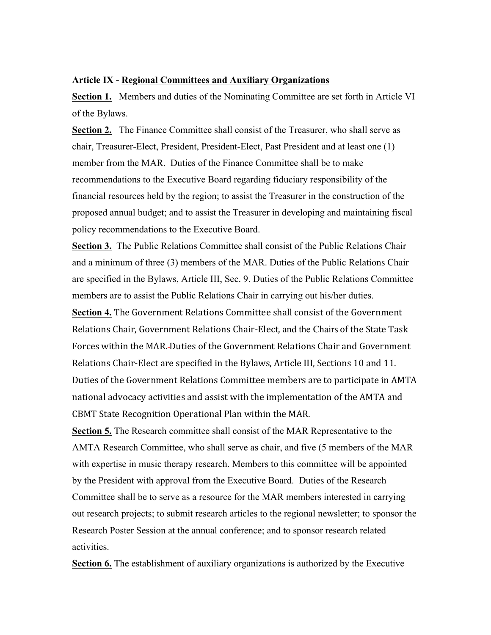### **Article IX - Regional Committees and Auxiliary Organizations**

**Section 1.** Members and duties of the Nominating Committee are set forth in Article VI of the Bylaws.

**Section 2.** The Finance Committee shall consist of the Treasurer, who shall serve as chair, Treasurer-Elect, President, President-Elect, Past President and at least one (1) member from the MAR. Duties of the Finance Committee shall be to make recommendations to the Executive Board regarding fiduciary responsibility of the financial resources held by the region; to assist the Treasurer in the construction of the proposed annual budget; and to assist the Treasurer in developing and maintaining fiscal policy recommendations to the Executive Board.

**Section 3.** The Public Relations Committee shall consist of the Public Relations Chair and a minimum of three (3) members of the MAR. Duties of the Public Relations Chair are specified in the Bylaws, Article III, Sec. 9. Duties of the Public Relations Committee members are to assist the Public Relations Chair in carrying out his/her duties.

**Section 4.** The Government Relations Committee shall consist of the Government Relations Chair, Government Relations Chair-Elect, and the Chairs of the State Task Forces within the MAR. Duties of the Government Relations Chair and Government Relations Chair-Elect are specified in the Bylaws, Article III, Sections 10 and 11. Duties of the Government Relations Committee members are to participate in AMTA national advocacy activities and assist with the implementation of the AMTA and CBMT State Recognition Operational Plan within the MAR.

**Section 5.** The Research committee shall consist of the MAR Representative to the AMTA Research Committee, who shall serve as chair, and five (5 members of the MAR with expertise in music therapy research. Members to this committee will be appointed by the President with approval from the Executive Board. Duties of the Research Committee shall be to serve as a resource for the MAR members interested in carrying out research projects; to submit research articles to the regional newsletter; to sponsor the Research Poster Session at the annual conference; and to sponsor research related activities.

**Section 6.** The establishment of auxiliary organizations is authorized by the Executive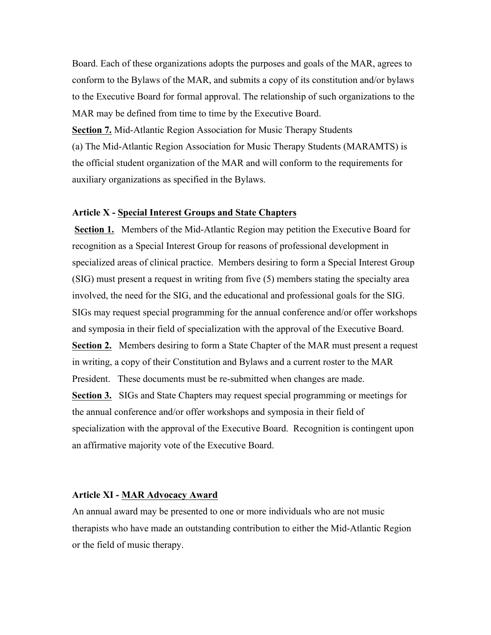Board. Each of these organizations adopts the purposes and goals of the MAR, agrees to conform to the Bylaws of the MAR, and submits a copy of its constitution and/or bylaws to the Executive Board for formal approval. The relationship of such organizations to the MAR may be defined from time to time by the Executive Board.

**Section 7.** Mid-Atlantic Region Association for Music Therapy Students (a) The Mid-Atlantic Region Association for Music Therapy Students (MARAMTS) is the official student organization of the MAR and will conform to the requirements for auxiliary organizations as specified in the Bylaws.

### **Article X - Special Interest Groups and State Chapters**

**Section 1.** Members of the Mid-Atlantic Region may petition the Executive Board for recognition as a Special Interest Group for reasons of professional development in specialized areas of clinical practice. Members desiring to form a Special Interest Group (SIG) must present a request in writing from five (5) members stating the specialty area involved, the need for the SIG, and the educational and professional goals for the SIG. SIGs may request special programming for the annual conference and/or offer workshops and symposia in their field of specialization with the approval of the Executive Board. **Section 2.** Members desiring to form a State Chapter of the MAR must present a request in writing, a copy of their Constitution and Bylaws and a current roster to the MAR President. These documents must be re-submitted when changes are made. **Section 3.** SIGs and State Chapters may request special programming or meetings for the annual conference and/or offer workshops and symposia in their field of specialization with the approval of the Executive Board. Recognition is contingent upon an affirmative majority vote of the Executive Board.

#### **Article XI - MAR Advocacy Award**

An annual award may be presented to one or more individuals who are not music therapists who have made an outstanding contribution to either the Mid-Atlantic Region or the field of music therapy.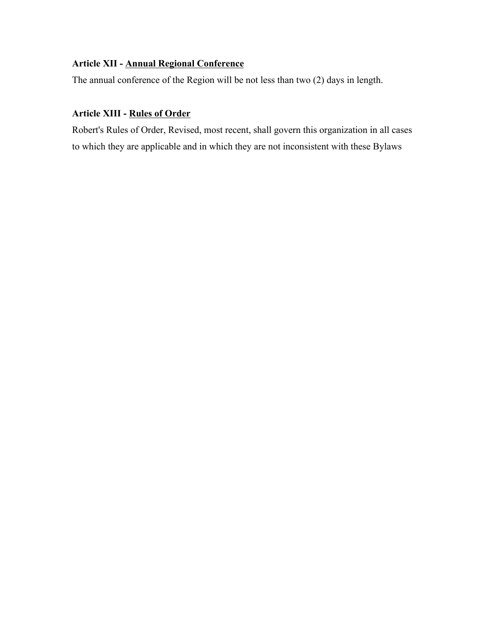# **Article XII - Annual Regional Conference**

The annual conference of the Region will be not less than two (2) days in length.

# **Article XIII - Rules of Order**

Robert's Rules of Order, Revised, most recent, shall govern this organization in all cases to which they are applicable and in which they are not inconsistent with these Bylaws